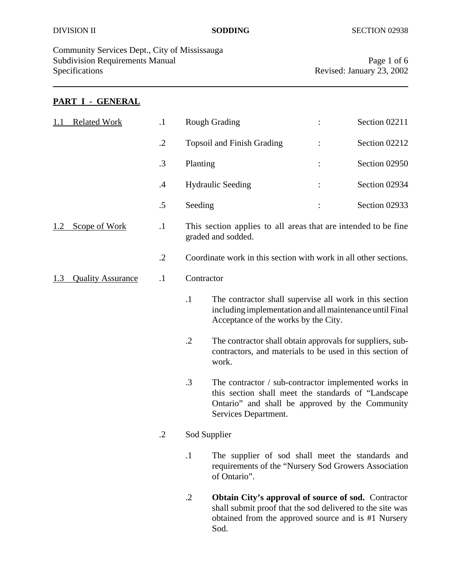Community Services Dept., City of Mississauga Subdivision Requirements Manual Page 1 of 6<br>Specifications Revised: January 23, 2002

Revised: January 23, 2002

### **PART I - GENERAL**

| <b>Related Work</b><br>1.1      |  | $\cdot$ 1 |                                                                                      | <b>Rough Grading</b>                                                                                                                                                                    |  | Section 02211 |
|---------------------------------|--|-----------|--------------------------------------------------------------------------------------|-----------------------------------------------------------------------------------------------------------------------------------------------------------------------------------------|--|---------------|
|                                 |  | $\cdot$   |                                                                                      | <b>Topsoil and Finish Grading</b>                                                                                                                                                       |  | Section 02212 |
|                                 |  | .3        | Planting                                                                             |                                                                                                                                                                                         |  | Section 02950 |
|                                 |  | $\cdot$   |                                                                                      | <b>Hydraulic Seeding</b>                                                                                                                                                                |  | Section 02934 |
|                                 |  | .5        | Seeding                                                                              |                                                                                                                                                                                         |  | Section 02933 |
| Scope of Work                   |  | $\cdot$ 1 | This section applies to all areas that are intended to be fine<br>graded and sodded. |                                                                                                                                                                                         |  |               |
|                                 |  | $\cdot$   | Coordinate work in this section with work in all other sections.                     |                                                                                                                                                                                         |  |               |
| <b>Quality Assurance</b><br>1.3 |  | $\cdot$   |                                                                                      | Contractor                                                                                                                                                                              |  |               |
|                                 |  |           | $\cdot$ 1                                                                            | The contractor shall supervise all work in this section<br>including implementation and all maintenance until Final<br>Acceptance of the works by the City.                             |  |               |
|                                 |  |           | $\cdot$ .2                                                                           | The contractor shall obtain approvals for suppliers, sub-<br>contractors, and materials to be used in this section of<br>work.                                                          |  |               |
|                                 |  |           | .3                                                                                   | The contractor / sub-contractor implemented works in<br>this section shall meet the standards of "Landscape"<br>Ontario" and shall be approved by the Community<br>Services Department. |  |               |
|                                 |  |           |                                                                                      | Sod Supplier                                                                                                                                                                            |  |               |
|                                 |  |           | $\cdot$ 1                                                                            | The supplier of sod shall meet the standards and<br>requirements of the "Nursery Sod Growers Association"<br>of Ontario".                                                               |  |               |
|                                 |  |           | $\cdot$ .2                                                                           | <b>Obtain City's approval of source of sod.</b> Contractor<br>shall submit proof that the sod delivered to the site was<br>obtained from the approved source and is #1 Nursery<br>Sod.  |  |               |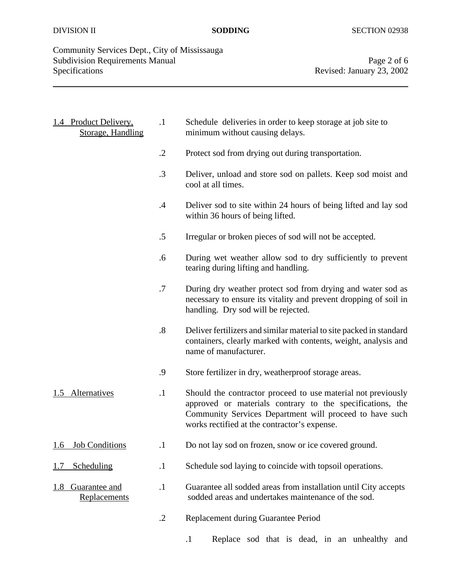# Community Services Dept., City of Mississauga Subdivision Requirements Manual Page 2 of 6<br>Specifications Revised: January 23, 2002

Revised: January 23, 2002

|     | 1.4 Product Delivery,<br><b>Storage, Handling</b> | $\cdot$ 1         | Schedule deliveries in order to keep storage at job site to<br>minimum without causing delays.                                                                                                                                       |
|-----|---------------------------------------------------|-------------------|--------------------------------------------------------------------------------------------------------------------------------------------------------------------------------------------------------------------------------------|
|     |                                                   | $\cdot$ .2        | Protect sod from drying out during transportation.                                                                                                                                                                                   |
|     |                                                   | $.3\phantom{0}$   | Deliver, unload and store sod on pallets. Keep sod moist and<br>cool at all times.                                                                                                                                                   |
|     |                                                   | $\mathcal{A}$     | Deliver sod to site within 24 hours of being lifted and lay sod<br>within 36 hours of being lifted.                                                                                                                                  |
|     |                                                   | $.5\,$            | Irregular or broken pieces of sod will not be accepted.                                                                                                                                                                              |
|     |                                                   | .6                | During wet weather allow sod to dry sufficiently to prevent<br>tearing during lifting and handling.                                                                                                                                  |
|     |                                                   | .7                | During dry weather protect sod from drying and water sod as<br>necessary to ensure its vitality and prevent dropping of soil in<br>handling. Dry sod will be rejected.                                                               |
|     |                                                   | $\boldsymbol{.8}$ | Deliver fertilizers and similar material to site packed in standard<br>containers, clearly marked with contents, weight, analysis and<br>name of manufacturer.                                                                       |
|     |                                                   | .9                | Store fertilizer in dry, weatherproof storage areas.                                                                                                                                                                                 |
|     | 1.5 Alternatives                                  | $\cdot$           | Should the contractor proceed to use material not previously<br>approved or materials contrary to the specifications, the<br>Community Services Department will proceed to have such<br>works rectified at the contractor's expense. |
|     | 1.6 Job Conditions                                | $\cdot$ 1         | Do not lay sod on frozen, snow or ice covered ground.                                                                                                                                                                                |
| 1.7 | Scheduling                                        | $\cdot$           | Schedule sod laying to coincide with topsoil operations.                                                                                                                                                                             |
| 1.8 | Guarantee and<br>Replacements                     | $\cdot$ 1         | Guarantee all sodded areas from installation until City accepts<br>sodded areas and undertakes maintenance of the sod.                                                                                                               |
|     |                                                   | $\cdot$ .2        | Replacement during Guarantee Period                                                                                                                                                                                                  |

.1 Replace sod that is dead, in an unhealthy and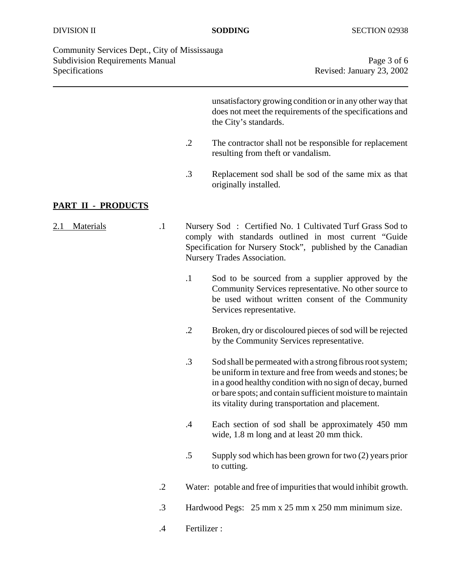Community Services Dept., City of Mississauga Subdivision Requirements Manual Page 3 of 6 Specifications Revised: January 23, 2002

unsatisfactory growing condition or in any other way that does not meet the requirements of the specifications and the City's standards.

- .2 The contractor shall not be responsible for replacement resulting from theft or vandalism.
- .3 Replacement sod shall be sod of the same mix as that originally installed.

#### **PART II - PRODUCTS**

- 2.1 Materials .1 Nursery Sod : Certified No. 1 Cultivated Turf Grass Sod to comply with standards outlined in most current "Guide Specification for Nursery Stock", published by the Canadian Nursery Trades Association.
	- .1 Sod to be sourced from a supplier approved by the Community Services representative. No other source to be used without written consent of the Community Services representative.
	- .2 Broken, dry or discoloured pieces of sod will be rejected by the Community Services representative.
	- .3 Sod shall be permeated with a strong fibrous root system; be uniform in texture and free from weeds and stones; be in a good healthy condition with no sign of decay, burned or bare spots; and contain sufficient moisture to maintain its vitality during transportation and placement.
	- .4 Each section of sod shall be approximately 450 mm wide, 1.8 m long and at least 20 mm thick.
	- .5 Supply sod which has been grown for two (2) years prior to cutting.
	- .2 Water: potable and free of impurities that would inhibit growth.
	- .3 Hardwood Pegs: 25 mm x 25 mm x 250 mm minimum size.
	- .4 Fertilizer :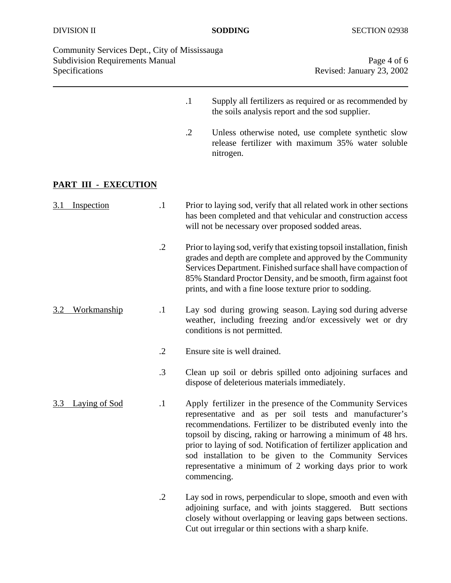| Community Services Dept., City of Mississauga |
|-----------------------------------------------|
| <b>Subdivision Requirements Manual</b>        |
| <b>Specifications</b>                         |

Page 4 of 6 Revised: January 23, 2002

- .1 Supply all fertilizers as required or as recommended by the soils analysis report and the sod supplier.
- .2 Unless otherwise noted, use complete synthetic slow release fertilizer with maximum 35% water soluble nitrogen.

## **PART III - EXECUTION**

| 3.1<br>Inspection    | $\cdot$ 1       | Prior to laying sod, verify that all related work in other sections<br>has been completed and that vehicular and construction access<br>will not be necessary over proposed sodded areas.                                                                                                                                                                                                                                                                         |
|----------------------|-----------------|-------------------------------------------------------------------------------------------------------------------------------------------------------------------------------------------------------------------------------------------------------------------------------------------------------------------------------------------------------------------------------------------------------------------------------------------------------------------|
|                      | $\cdot$ .2      | Prior to laying sod, verify that existing topsoil installation, finish<br>grades and depth are complete and approved by the Community<br>Services Department. Finished surface shall have compaction of<br>85% Standard Proctor Density, and be smooth, firm against foot<br>prints, and with a fine loose texture prior to sodding.                                                                                                                              |
| Workmanship<br>3.2   | $\cdot$ 1       | Lay sod during growing season. Laying sod during adverse<br>weather, including freezing and/or excessively wet or dry<br>conditions is not permitted.                                                                                                                                                                                                                                                                                                             |
|                      | $\cdot$ .2      | Ensure site is well drained.                                                                                                                                                                                                                                                                                                                                                                                                                                      |
|                      | $.3\phantom{0}$ | Clean up soil or debris spilled onto adjoining surfaces and<br>dispose of deleterious materials immediately.                                                                                                                                                                                                                                                                                                                                                      |
| Laying of Sod<br>3.3 | $\cdot$ 1       | Apply fertilizer in the presence of the Community Services<br>representative and as per soil tests and manufacturer's<br>recommendations. Fertilizer to be distributed evenly into the<br>topsoil by discing, raking or harrowing a minimum of 48 hrs.<br>prior to laying of sod. Notification of fertilizer application and<br>sod installation to be given to the Community Services<br>representative a minimum of 2 working days prior to work<br>commencing. |
|                      | $\cdot$ .2      | Lay sod in rows, perpendicular to slope, smooth and even with<br>adjoining surface, and with joints staggered. Butt sections<br>closely without overlapping or leaving gaps between sections.<br>Cut out irregular or thin sections with a sharp knife.                                                                                                                                                                                                           |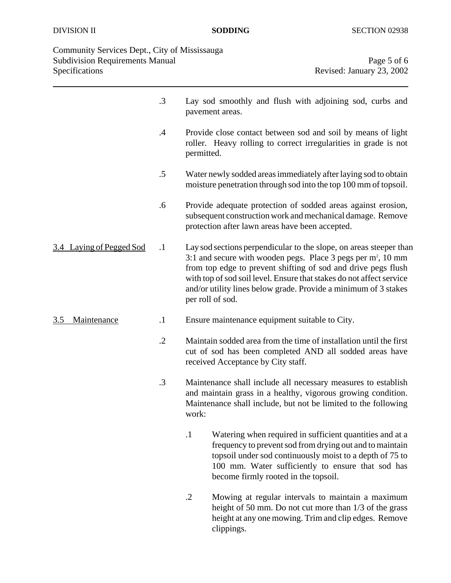| Community Services Dept., City of Mississauga |
|-----------------------------------------------|
| <b>Subdivision Requirements Manual</b>        |
| <b>Specifications</b>                         |

|                          | $.3\phantom{0}$ | Lay sod smoothly and flush with adjoining sod, curbs and<br>pavement areas.                                                                                                                                                                                                                                                                                                      |  |
|--------------------------|-----------------|----------------------------------------------------------------------------------------------------------------------------------------------------------------------------------------------------------------------------------------------------------------------------------------------------------------------------------------------------------------------------------|--|
|                          | .4              | Provide close contact between sod and soil by means of light<br>roller. Heavy rolling to correct irregularities in grade is not<br>permitted.                                                                                                                                                                                                                                    |  |
|                          | $.5\,$          | Water newly sodded areas immediately after laying sod to obtain<br>moisture penetration through sod into the top 100 mm of topsoil.                                                                                                                                                                                                                                              |  |
|                          | .6              | Provide adequate protection of sodded areas against erosion,<br>subsequent construction work and mechanical damage. Remove<br>protection after lawn areas have been accepted.                                                                                                                                                                                                    |  |
| 3.4 Laying of Pegged Sod | $\cdot$         | Lay sod sections perpendicular to the slope, on areas steeper than<br>3:1 and secure with wooden pegs. Place $3$ pegs per m <sup>2</sup> , 10 mm<br>from top edge to prevent shifting of sod and drive pegs flush<br>with top of sod soil level. Ensure that stakes do not affect service<br>and/or utility lines below grade. Provide a minimum of 3 stakes<br>per roll of sod. |  |
| Maintenance<br>3.5       | $\cdot$         | Ensure maintenance equipment suitable to City.                                                                                                                                                                                                                                                                                                                                   |  |
|                          | $\cdot$ .2      | Maintain sodded area from the time of installation until the first<br>cut of sod has been completed AND all sodded areas have<br>received Acceptance by City staff.                                                                                                                                                                                                              |  |
|                          | $\cdot$ 3       | Maintenance shall include all necessary measures to establish<br>and maintain grass in a healthy, vigorous growing condition.<br>Maintenance shall include, but not be limited to the following<br>work:                                                                                                                                                                         |  |
|                          |                 | Watering when required in sufficient quantities and at a<br>$\cdot$<br>frequency to prevent sod from drying out and to maintain<br>topsoil under sod continuously moist to a depth of 75 to<br>100 mm. Water sufficiently to ensure that sod has<br>become firmly rooted in the topsoil.                                                                                         |  |
|                          |                 | $\cdot$ .2<br>Mowing at regular intervals to maintain a maximum<br>height of 50 mm. Do not cut more than 1/3 of the grass<br>height at any one mowing. Trim and clip edges. Remove                                                                                                                                                                                               |  |

clippings.